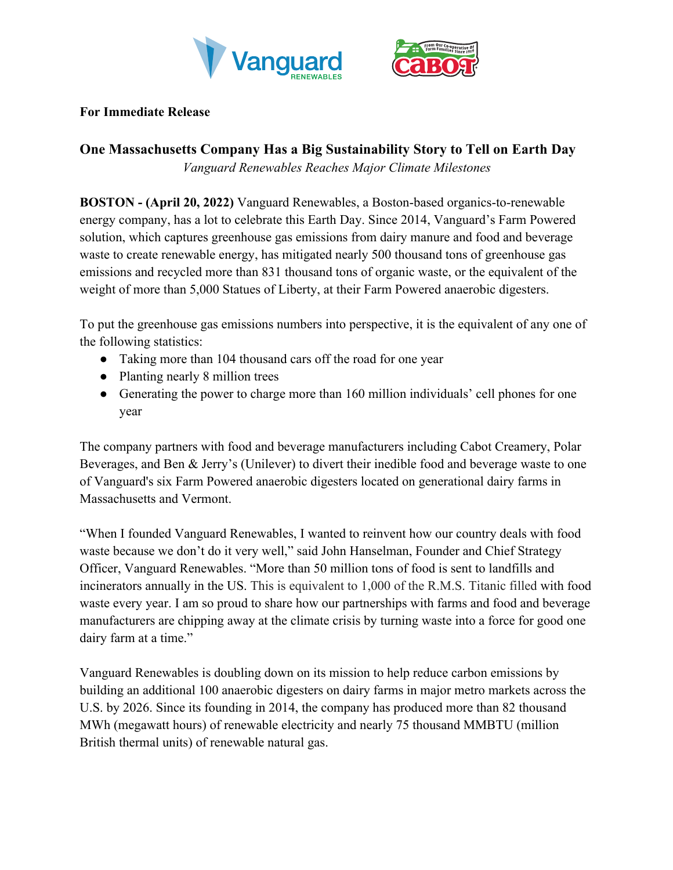



## **For Immediate Release**

# **One Massachusetts Company Has a Big Sustainability Story to Tell on Earth Day**

*Vanguard Renewables Reaches Major Climate Milestones*

**BOSTON - (April 20, 2022)** Vanguard Renewables, a Boston-based organics-to-renewable energy company, has a lot to celebrate this Earth Day. Since 2014, Vanguard's Farm Powered solution, which captures greenhouse gas emissions from dairy manure and food and beverage waste to create renewable energy, has mitigated nearly 500 thousand tons of greenhouse gas emissions and recycled more than 831 thousand tons of organic waste, or the equivalent of the weight of more than 5,000 Statues of Liberty, at their Farm Powered anaerobic digesters.

To put the greenhouse gas emissions numbers into perspective, it is the equivalent of any one of the following statistics:

- Taking more than 104 thousand cars off the road for one year
- Planting nearly 8 million trees
- Generating the power to charge more than 160 million individuals' cell phones for one year

The company partners with food and beverage manufacturers including Cabot Creamery, Polar Beverages, and Ben & Jerry's (Unilever) to divert their inedible food and beverage waste to one of Vanguard's six Farm Powered anaerobic digesters located on generational dairy farms in Massachusetts and Vermont.

"When I founded Vanguard Renewables, I wanted to reinvent how our country deals with food waste because we don't do it very well," said John Hanselman, Founder and Chief Strategy Officer, Vanguard Renewables. "More than 50 million tons of food is sent to landfills and incinerators annually in the US. This is equivalent to 1,000 of the R.M.S. Titanic filled with food waste every year. I am so proud to share how our partnerships with farms and food and beverage manufacturers are chipping away at the climate crisis by turning waste into a force for good one dairy farm at a time."

Vanguard Renewables is doubling down on its mission to help reduce carbon emissions by building an additional 100 anaerobic digesters on dairy farms in major metro markets across the U.S. by 2026. Since its founding in 2014, the company has produced more than 82 thousand MWh (megawatt hours) of renewable electricity and nearly 75 thousand MMBTU (million British thermal units) of renewable natural gas.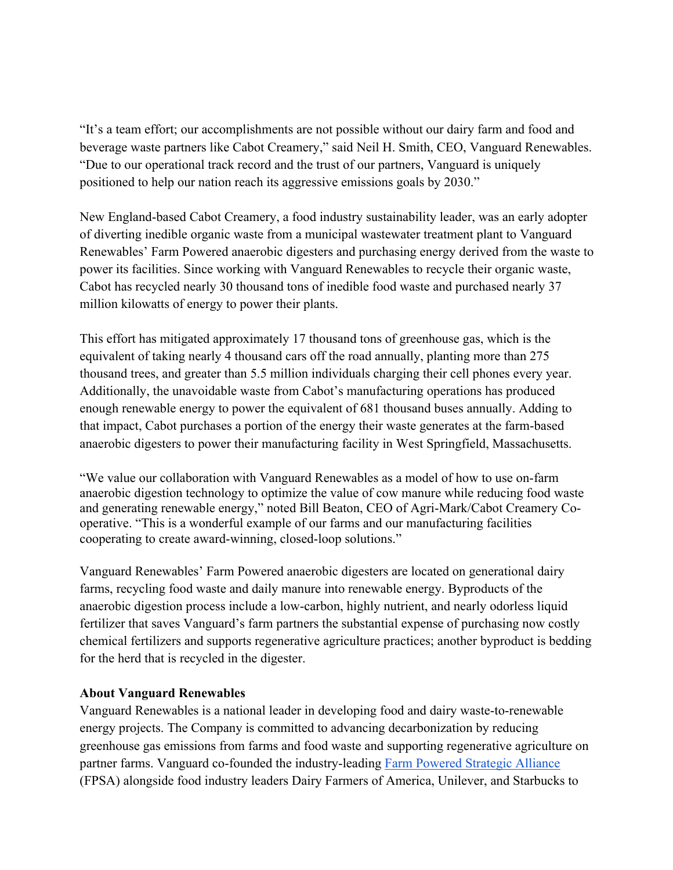"It's a team effort; our accomplishments are not possible without our dairy farm and food and beverage waste partners like Cabot Creamery," said Neil H. Smith, CEO, Vanguard Renewables. "Due to our operational track record and the trust of our partners, Vanguard is uniquely positioned to help our nation reach its aggressive emissions goals by 2030."

New England-based Cabot Creamery, a food industry sustainability leader, was an early adopter of diverting inedible organic waste from a municipal wastewater treatment plant to Vanguard Renewables' Farm Powered anaerobic digesters and purchasing energy derived from the waste to power its facilities. Since working with Vanguard Renewables to recycle their organic waste, Cabot has recycled nearly 30 thousand tons of inedible food waste and purchased nearly 37 million kilowatts of energy to power their plants.

This effort has mitigated approximately 17 thousand tons of greenhouse gas, which is the equivalent of taking nearly 4 thousand cars off the road annually, planting more than 275 thousand trees, and greater than 5.5 million individuals charging their cell phones every year. Additionally, the unavoidable waste from Cabot's manufacturing operations has produced enough renewable energy to power the equivalent of 681 thousand buses annually. Adding to that impact, Cabot purchases a portion of the energy their waste generates at the farm-based anaerobic digesters to power their manufacturing facility in West Springfield, Massachusetts.

"We value our collaboration with Vanguard Renewables as a model of how to use on-farm anaerobic digestion technology to optimize the value of cow manure while reducing food waste and generating renewable energy," noted Bill Beaton, CEO of Agri-Mark/Cabot Creamery Cooperative. "This is a wonderful example of our farms and our manufacturing facilities cooperating to create award-winning, closed-loop solutions."

Vanguard Renewables' Farm Powered anaerobic digesters are located on generational dairy farms, recycling food waste and daily manure into renewable energy. Byproducts of the anaerobic digestion process include a low-carbon, highly nutrient, and nearly odorless liquid fertilizer that saves Vanguard's farm partners the substantial expense of purchasing now costly chemical fertilizers and supports regenerative agriculture practices; another byproduct is bedding for the herd that is recycled in the digester.

## **About Vanguard Renewables**

Vanguard Renewables is a national leader in developing food and dairy waste-to-renewable energy projects. The Company is committed to advancing decarbonization by reducing greenhouse gas emissions from farms and food waste and supporting regenerative agriculture on partner farms. Vanguard co-founded the industry-leading Farm Powered Strategic Alliance (FPSA) alongside food industry leaders Dairy Farmers of America, Unilever, and Starbucks to